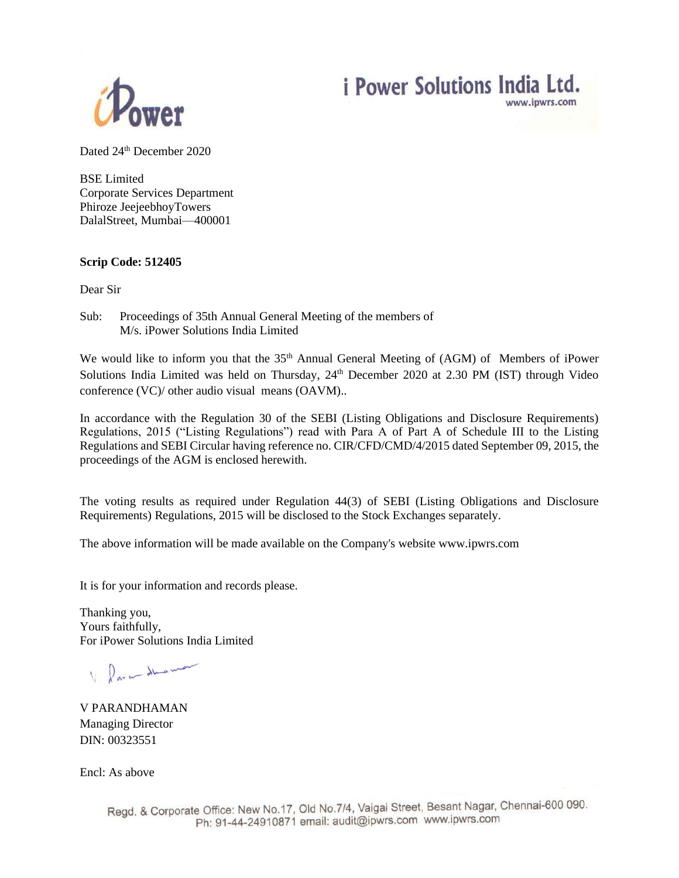



Dated 24<sup>th</sup> December 2020

BSE Limited Corporate Services Department Phiroze JeejeebhoyTowers DalalStreet, Mumbai—400001

## **Scrip Code: 512405**

Dear Sir

Sub: Proceedings of 35th Annual General Meeting of the members of M/s. iPower Solutions India Limited

We would like to inform you that the 35<sup>th</sup> Annual General Meeting of (AGM) of Members of iPower Solutions India Limited was held on Thursday, 24<sup>th</sup> December 2020 at 2.30 PM (IST) through Video conference (VC)/ other audio visual means (OAVM)..

In accordance with the Regulation 30 of the SEBI (Listing Obligations and Disclosure Requirements) Regulations, 2015 ("Listing Regulations") read with Para A of Part A of Schedule III to the Listing Regulations and SEBI Circular having reference no. CIR/CFD/CMD/4/2015 dated September 09, 2015, the proceedings of the AGM is enclosed herewith.

The voting results as required under Regulation 44(3) of SEBI (Listing Obligations and Disclosure Requirements) Regulations, 2015 will be disclosed to the Stock Exchanges separately.

The above information will be made available on the Company's website www.ipwrs.com

It is for your information and records please.

Thanking you, Yours faithfully, For iPower Solutions India Limited

lare duamo

V PARANDHAMAN Managing Director DIN: 00323551

Encl: As above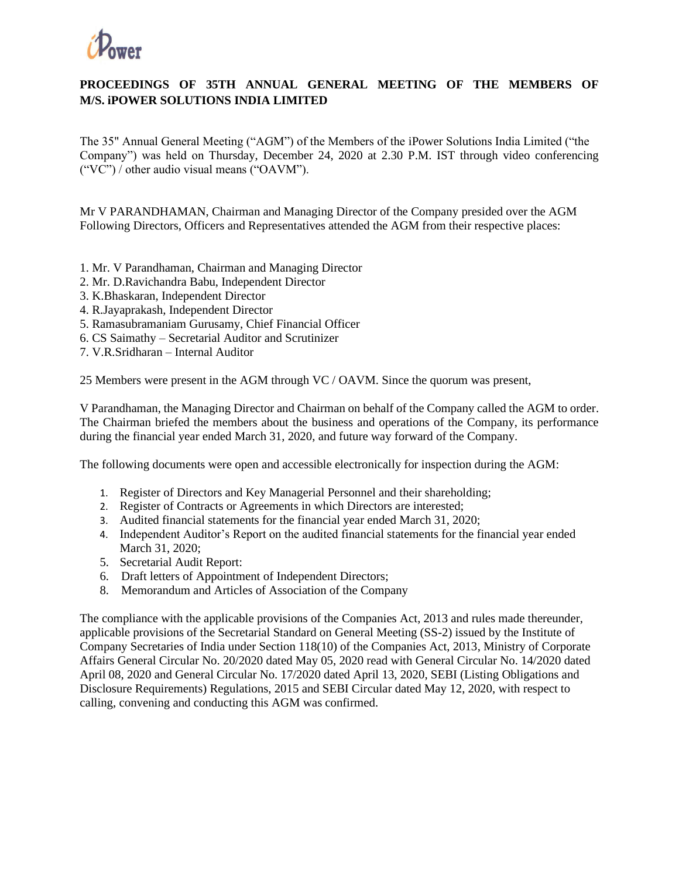

## **PROCEEDINGS OF 35TH ANNUAL GENERAL MEETING OF THE MEMBERS OF M/S. iPOWER SOLUTIONS INDIA LIMITED**

The 35" Annual General Meeting ("AGM") of the Members of the iPower Solutions India Limited ("the Company") was held on Thursday, December 24, 2020 at 2.30 P.M. IST through video conferencing ("VC") / other audio visual means ("OAVM").

Mr V PARANDHAMAN, Chairman and Managing Director of the Company presided over the AGM Following Directors, Officers and Representatives attended the AGM from their respective places:

- 1. Mr. V Parandhaman, Chairman and Managing Director
- 2. Mr. D.Ravichandra Babu, Independent Director
- 3. K.Bhaskaran, Independent Director
- 4. R.Jayaprakash, Independent Director
- 5. Ramasubramaniam Gurusamy, Chief Financial Officer
- 6. CS Saimathy Secretarial Auditor and Scrutinizer
- 7. V.R.Sridharan Internal Auditor

25 Members were present in the AGM through VC / OAVM. Since the quorum was present,

V Parandhaman, the Managing Director and Chairman on behalf of the Company called the AGM to order. The Chairman briefed the members about the business and operations of the Company, its performance during the financial year ended March 31, 2020, and future way forward of the Company.

The following documents were open and accessible electronically for inspection during the AGM:

- 1. Register of Directors and Key Managerial Personnel and their shareholding;
- 2. Register of Contracts or Agreements in which Directors are interested;
- 3. Audited financial statements for the financial year ended March 31, 2020;
- 4. Independent Auditor's Report on the audited financial statements for the financial year ended March 31, 2020;
- 5. Secretarial Audit Report:
- 6. Draft letters of Appointment of Independent Directors;
- 8. Memorandum and Articles of Association of the Company

The compliance with the applicable provisions of the Companies Act, 2013 and rules made thereunder, applicable provisions of the Secretarial Standard on General Meeting (SS-2) issued by the Institute of Company Secretaries of India under Section 118(10) of the Companies Act, 2013, Ministry of Corporate Affairs General Circular No. 20/2020 dated May 05, 2020 read with General Circular No. 14/2020 dated April 08, 2020 and General Circular No. 17/2020 dated April 13, 2020, SEBI (Listing Obligations and Disclosure Requirements) Regulations, 2015 and SEBI Circular dated May 12, 2020, with respect to calling, convening and conducting this AGM was confirmed.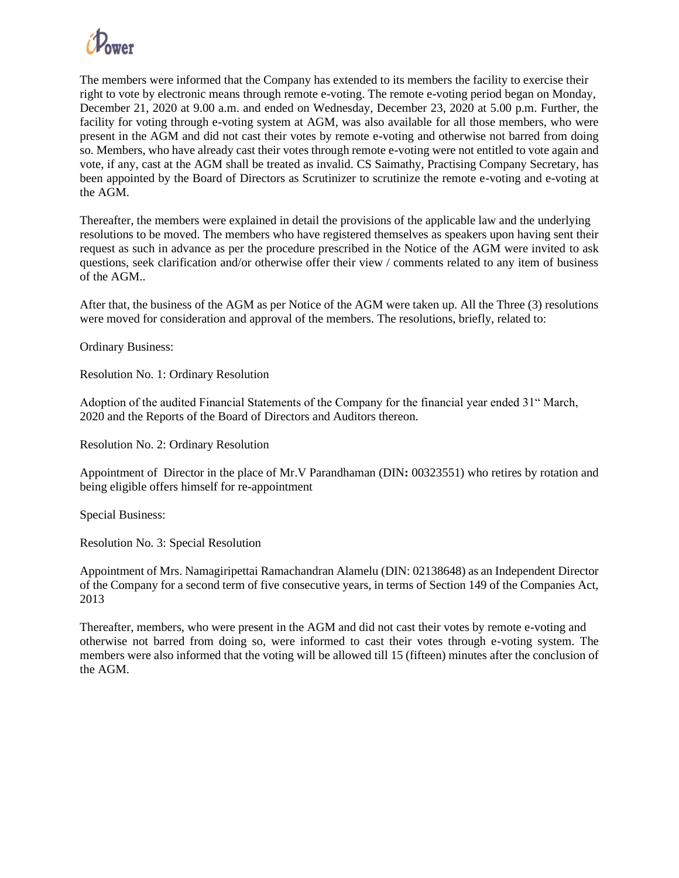

The members were informed that the Company has extended to its members the facility to exercise their right to vote by electronic means through remote e-voting. The remote e-voting period began on Monday, December 21, 2020 at 9.00 a.m. and ended on Wednesday, December 23, 2020 at 5.00 p.m. Further, the facility for voting through e-voting system at AGM, was also available for all those members, who were present in the AGM and did not cast their votes by remote e-voting and otherwise not barred from doing so. Members, who have already cast their votes through remote e-voting were not entitled to vote again and vote, if any, cast at the AGM shall be treated as invalid. CS Saimathy, Practising Company Secretary, has been appointed by the Board of Directors as Scrutinizer to scrutinize the remote e-voting and e-voting at the AGM.

Thereafter, the members were explained in detail the provisions of the applicable law and the underlying resolutions to be moved. The members who have registered themselves as speakers upon having sent their request as such in advance as per the procedure prescribed in the Notice of the AGM were invited to ask questions, seek clarification and/or otherwise offer their view / comments related to any item of business of the AGM..

After that, the business of the AGM as per Notice of the AGM were taken up. All the Three (3) resolutions were moved for consideration and approval of the members. The resolutions, briefly, related to:

Ordinary Business:

Resolution No. 1: Ordinary Resolution

Adoption of the audited Financial Statements of the Company for the financial year ended 31" March, 2020 and the Reports of the Board of Directors and Auditors thereon.

Resolution No. 2: Ordinary Resolution

Appointment of Director in the place of Mr.V Parandhaman (DIN**:** 00323551) who retires by rotation and being eligible offers himself for re-appointment

Special Business:

Resolution No. 3: Special Resolution

Appointment of Mrs. Namagiripettai Ramachandran Alamelu (DIN: 02138648) as an Independent Director of the Company for a second term of five consecutive years, in terms of Section 149 of the Companies Act, 2013

Thereafter, members, who were present in the AGM and did not cast their votes by remote e-voting and otherwise not barred from doing so, were informed to cast their votes through e-voting system. The members were also informed that the voting will be allowed till 15 (fifteen) minutes after the conclusion of the AGM.